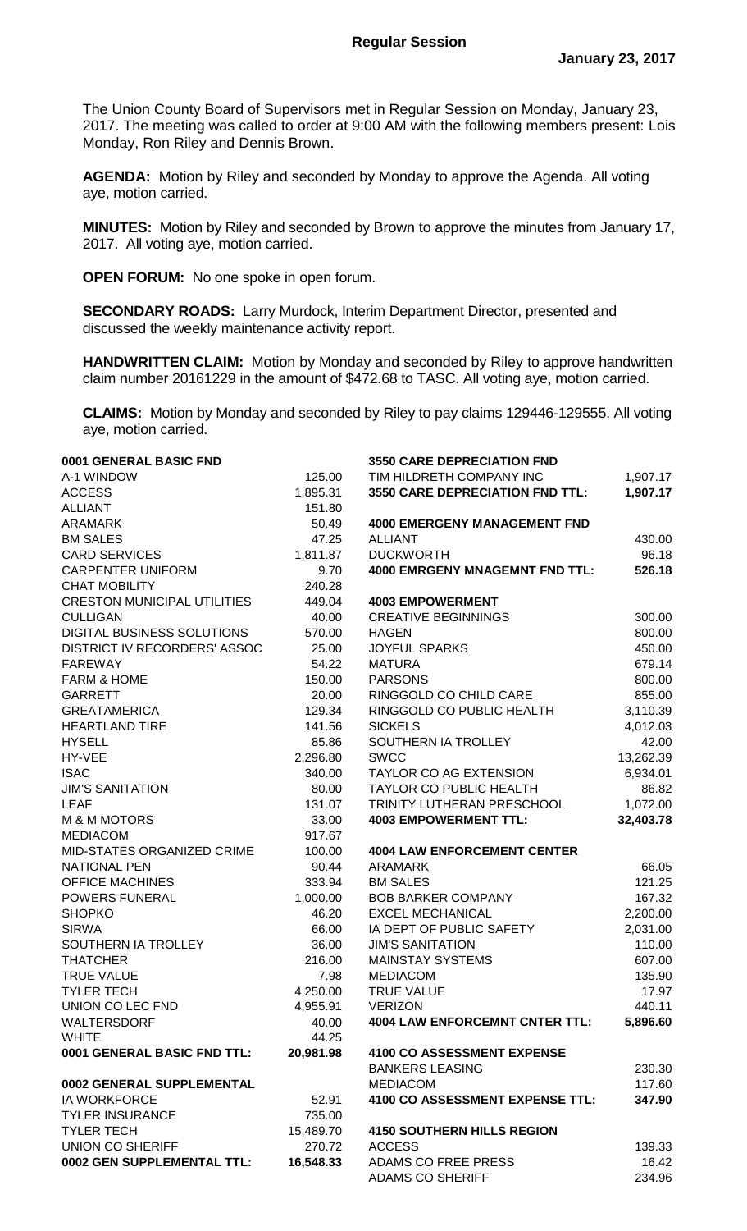The Union County Board of Supervisors met in Regular Session on Monday, January 23, 2017. The meeting was called to order at 9:00 AM with the following members present: Lois Monday, Ron Riley and Dennis Brown.

**AGENDA:** Motion by Riley and seconded by Monday to approve the Agenda. All voting aye, motion carried.

**MINUTES:** Motion by Riley and seconded by Brown to approve the minutes from January 17, 2017. All voting aye, motion carried.

**OPEN FORUM:** No one spoke in open forum.

**SECONDARY ROADS:** Larry Murdock, Interim Department Director, presented and discussed the weekly maintenance activity report.

**HANDWRITTEN CLAIM:** Motion by Monday and seconded by Riley to approve handwritten claim number 20161229 in the amount of \$472.68 to TASC. All voting aye, motion carried.

**CLAIMS:** Motion by Monday and seconded by Riley to pay claims 129446-129555. All voting aye, motion carried.

| 0001 GENERAL BASIC FND             |           | <b>3550 CARE DEPRECIATION FND</b>              |                 |
|------------------------------------|-----------|------------------------------------------------|-----------------|
| A-1 WINDOW                         | 125.00    | TIM HILDRETH COMPANY INC                       | 1,907.17        |
| <b>ACCESS</b>                      | 1,895.31  | 3550 CARE DEPRECIATION FND TTL:                | 1,907.17        |
| <b>ALLIANT</b>                     | 151.80    |                                                |                 |
| <b>ARAMARK</b>                     | 50.49     | <b>4000 EMERGENY MANAGEMENT FND</b>            |                 |
| <b>BM SALES</b>                    | 47.25     | <b>ALLIANT</b>                                 | 430.00          |
| <b>CARD SERVICES</b>               | 1,811.87  | <b>DUCKWORTH</b>                               | 96.18           |
| <b>CARPENTER UNIFORM</b>           | 9.70      | <b>4000 EMRGENY MNAGEMNT FND TTL:</b>          | 526.18          |
| <b>CHAT MOBILITY</b>               | 240.28    |                                                |                 |
| <b>CRESTON MUNICIPAL UTILITIES</b> | 449.04    | <b>4003 EMPOWERMENT</b>                        |                 |
| <b>CULLIGAN</b>                    | 40.00     | <b>CREATIVE BEGINNINGS</b>                     | 300.00          |
| DIGITAL BUSINESS SOLUTIONS         | 570.00    | <b>HAGEN</b>                                   | 800.00          |
| DISTRICT IV RECORDERS' ASSOC       | 25.00     | <b>JOYFUL SPARKS</b>                           | 450.00          |
| <b>FAREWAY</b>                     | 54.22     | <b>MATURA</b>                                  | 679.14          |
| <b>FARM &amp; HOME</b>             | 150.00    | <b>PARSONS</b>                                 | 800.00          |
| <b>GARRETT</b>                     | 20.00     | RINGGOLD CO CHILD CARE                         | 855.00          |
| <b>GREATAMERICA</b>                | 129.34    | RINGGOLD CO PUBLIC HEALTH                      | 3,110.39        |
| <b>HEARTLAND TIRE</b>              | 141.56    | <b>SICKELS</b>                                 | 4,012.03        |
| <b>HYSELL</b>                      | 85.86     | SOUTHERN IA TROLLEY                            | 42.00           |
| HY-VEE                             | 2,296.80  | <b>SWCC</b>                                    | 13,262.39       |
| <b>ISAC</b>                        | 340.00    | <b>TAYLOR CO AG EXTENSION</b>                  | 6,934.01        |
| <b>JIM'S SANITATION</b>            | 80.00     | TAYLOR CO PUBLIC HEALTH                        | 86.82           |
| <b>LEAF</b>                        | 131.07    | TRINITY LUTHERAN PRESCHOOL                     | 1,072.00        |
| <b>M &amp; M MOTORS</b>            | 33.00     | <b>4003 EMPOWERMENT TTL:</b>                   | 32,403.78       |
| <b>MEDIACOM</b>                    | 917.67    |                                                |                 |
| MID-STATES ORGANIZED CRIME         | 100.00    | <b>4004 LAW ENFORCEMENT CENTER</b>             |                 |
| <b>NATIONAL PEN</b>                | 90.44     | <b>ARAMARK</b>                                 | 66.05           |
| <b>OFFICE MACHINES</b>             | 333.94    | <b>BM SALES</b>                                | 121.25          |
| <b>POWERS FUNERAL</b>              | 1,000.00  | <b>BOB BARKER COMPANY</b>                      | 167.32          |
| <b>SHOPKO</b>                      | 46.20     | <b>EXCEL MECHANICAL</b>                        | 2,200.00        |
| <b>SIRWA</b>                       | 66.00     | IA DEPT OF PUBLIC SAFETY                       | 2,031.00        |
| SOUTHERN IA TROLLEY                | 36.00     | <b>JIM'S SANITATION</b>                        | 110.00          |
| <b>THATCHER</b>                    | 216.00    | <b>MAINSTAY SYSTEMS</b>                        | 607.00          |
| <b>TRUE VALUE</b>                  | 7.98      | <b>MEDIACOM</b>                                | 135.90          |
| <b>TYLER TECH</b>                  | 4,250.00  | <b>TRUE VALUE</b>                              | 17.97           |
| UNION CO LEC FND                   | 4,955.91  | <b>VERIZON</b>                                 | 440.11          |
| WALTERSDORF                        | 40.00     | <b>4004 LAW ENFORCEMNT CNTER TTL:</b>          | 5,896.60        |
| <b>WHITE</b>                       | 44.25     |                                                |                 |
| 0001 GENERAL BASIC FND TTL:        | 20,981.98 | <b>4100 CO ASSESSMENT EXPENSE</b>              |                 |
|                                    |           | <b>BANKERS LEASING</b>                         | 230.30          |
| 0002 GENERAL SUPPLEMENTAL          |           | <b>MEDIACOM</b>                                | 117.60          |
| <b>IA WORKFORCE</b>                | 52.91     | 4100 CO ASSESSMENT EXPENSE TTL:                | 347.90          |
| <b>TYLER INSURANCE</b>             | 735.00    |                                                |                 |
| <b>TYLER TECH</b>                  | 15,489.70 | <b>4150 SOUTHERN HILLS REGION</b>              |                 |
| <b>UNION CO SHERIFF</b>            | 270.72    | <b>ACCESS</b>                                  | 139.33          |
| 0002 GEN SUPPLEMENTAL TTL:         |           |                                                |                 |
|                                    | 16,548.33 | ADAMS CO FREE PRESS<br><b>ADAMS CO SHERIFF</b> | 16.42<br>234.96 |